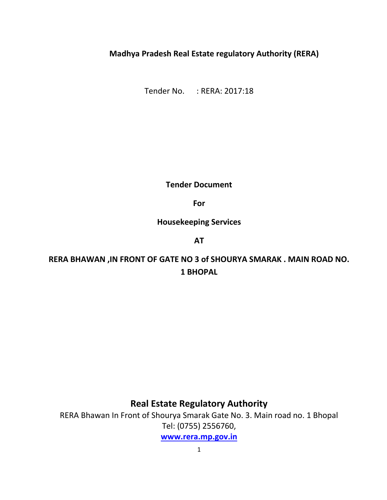# **Madhya Pradesh Real Estate regulatory Authority (RERA)**

Tender No. : RERA: 2017:18

**Tender Document** 

**For** 

**Housekeeping Services** 

**AT**

**RERA BHAWAN ,IN FRONT OF GATE NO 3 of SHOURYA SMARAK . MAIN ROAD NO. 1 BHOPAL** 

**Real Estate Regulatory Authority** 

RERA Bhawan In Front of Shourya Smarak Gate No. 3. Main road no. 1 Bhopal Tel: (0755) 2556760,

**[www.rera.mp.gov.i](http://www.rera.mp.gov./)n**

1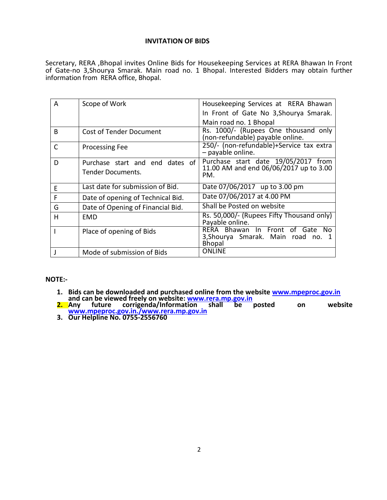### **INVITATION OF BIDS**

Secretary, RERA ,Bhopal invites Online Bids for Housekeeping Services at RERA Bhawan In Front of Gate-no 3,Shourya Smarak. Main road no. 1 Bhopal. Interested Bidders may obtain further information from RERA office, Bhopal.

| A            | Scope of Work                     | Housekeeping Services at RERA Bhawan                                                       |
|--------------|-----------------------------------|--------------------------------------------------------------------------------------------|
|              |                                   | In Front of Gate No 3, Shourya Smarak.                                                     |
|              |                                   | Main road no. 1 Bhopal                                                                     |
| <sub>R</sub> | <b>Cost of Tender Document</b>    | Rs. 1000/- (Rupees One thousand only<br>(non-refundable) payable online.                   |
| C            | <b>Processing Fee</b>             | 250/- (non-refundable)+Service tax extra<br>$-$ payable online.                            |
| D            | Purchase start and end dates of   | Purchase start date 19/05/2017 from                                                        |
|              | Tender Documents.                 | 11.00 AM and end 06/06/2017 up to 3.00<br>PM.                                              |
| E            | Last date for submission of Bid.  | Date 07/06/2017 up to 3.00 pm                                                              |
| F            | Date of opening of Technical Bid. | Date 07/06/2017 at 4.00 PM                                                                 |
| G            | Date of Opening of Financial Bid. | Shall be Posted on website                                                                 |
| H            | EMD                               | Rs. 50,000/- (Rupees Fifty Thousand only)<br>Payable online.                               |
|              | Place of opening of Bids          | RERA Bhawan In Front of Gate<br>No.<br>3, Shourya Smarak. Main road no. 1<br><b>Bhopal</b> |
|              | Mode of submission of Bids        | <b>ONLINE</b>                                                                              |

### **NOTE:-**

- **1. Bids can be downloaded and purchased online from the website [www.mpeproc.gov.in](http://www.mpeproc.gov.in/) and can be viewed freely on website: www.rera.mp.gov.in**
- **2. Any future corrigenda/Information shall be posted on website [www.mpeproc.gov.in./www.rera.mp.gov.in](http://www.mpeproc.gov.in./www.rera.mp.gov.in)**
- **3. Our Helpline No. 0755-2556760**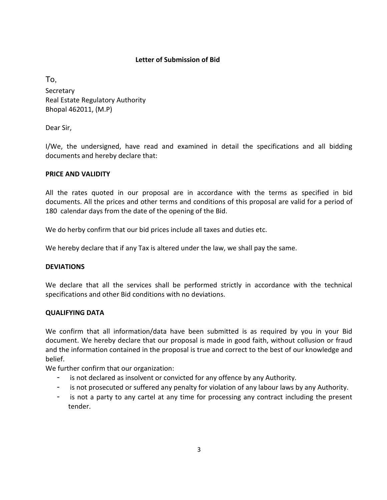# **Letter of Submission of Bid**

To, **Secretary** Real Estate Regulatory Authority Bhopal 462011, (M.P)

Dear Sir,

I/We, the undersigned, have read and examined in detail the specifications and all bidding documents and hereby declare that:

# **PRICE AND VALIDITY**

All the rates quoted in our proposal are in accordance with the terms as specified in bid documents. All the prices and other terms and conditions of this proposal are valid for a period of 180 calendar days from the date of the opening of the Bid.

We do herby confirm that our bid prices include all taxes and duties etc.

We hereby declare that if any Tax is altered under the law, we shall pay the same.

# **DEVIATIONS**

We declare that all the services shall be performed strictly in accordance with the technical specifications and other Bid conditions with no deviations.

# **QUALIFYING DATA**

We confirm that all information/data have been submitted is as required by you in your Bid document. We hereby declare that our proposal is made in good faith, without collusion or fraud and the information contained in the proposal is true and correct to the best of our knowledge and belief.

We further confirm that our organization:

- is not declared as insolvent or convicted for any offence by any Authority.
- is not prosecuted or suffered any penalty for violation of any labour laws by any Authority.
- is not a party to any cartel at any time for processing any contract including the present tender.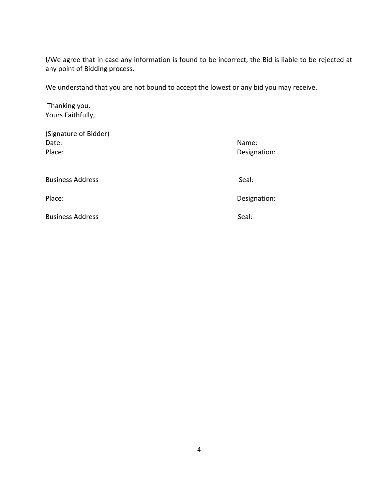I/We agree that in case any information is found to be incorrect, the Bid is liable to be rejected at any point of Bidding process.

We understand that you are not bound to accept the lowest or any bid you may receive.

 Thanking you, Yours Faithfully,

| (Signature of Bidder)<br>Date:<br>Place: | Name:<br>Designation: |
|------------------------------------------|-----------------------|
| <b>Business Address</b>                  | Seal:                 |
| Place:                                   | Designation:          |
| <b>Business Address</b>                  | Seal:                 |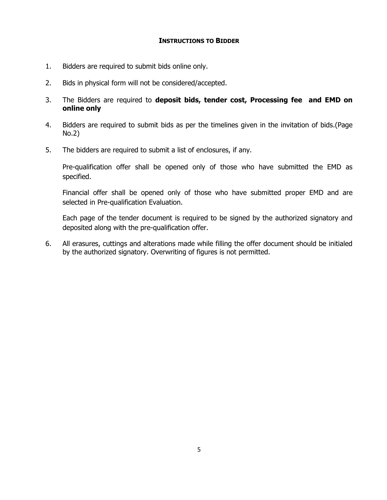### **INSTRUCTIONS TO BIDDER**

- 1. Bidders are required to submit bids online only.
- 2. Bids in physical form will not be considered/accepted.
- 3. The Bidders are required to **deposit bids, tender cost, Processing fee and EMD on online only**
- 4. Bidders are required to submit bids as per the timelines given in the invitation of bids.(Page No.2)
- 5. The bidders are required to submit a list of enclosures, if any.

Pre-qualification offer shall be opened only of those who have submitted the EMD as specified.

Financial offer shall be opened only of those who have submitted proper EMD and are selected in Pre-qualification Evaluation.

Each page of the tender document is required to be signed by the authorized signatory and deposited along with the pre-qualification offer.

6. All erasures, cuttings and alterations made while filling the offer document should be initialed by the authorized signatory. Overwriting of figures is not permitted.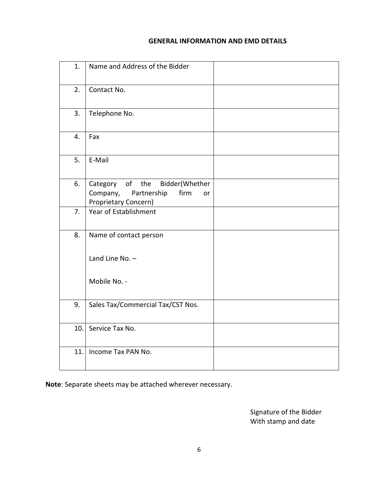# **GENERAL INFORMATION AND EMD DETAILS**

| 1.  | Name and Address of the Bidder                                                                     |  |
|-----|----------------------------------------------------------------------------------------------------|--|
| 2.  | Contact No.                                                                                        |  |
| 3.  | Telephone No.                                                                                      |  |
| 4.  | Fax                                                                                                |  |
| 5.  | E-Mail                                                                                             |  |
| 6.  | Category of the<br>Bidder(Whether<br>Partnership<br>Company,<br>firm<br>or<br>Proprietary Concern) |  |
| 7.  | Year of Establishment                                                                              |  |
| 8.  | Name of contact person                                                                             |  |
|     | Land Line No. $-$                                                                                  |  |
|     | Mobile No. -                                                                                       |  |
| 9.  | Sales Tax/Commercial Tax/CST Nos.                                                                  |  |
| 10. | Service Tax No.                                                                                    |  |
| 11. | Income Tax PAN No.                                                                                 |  |

**Note**: Separate sheets may be attached wherever necessary.

Signature of the Bidder With stamp and date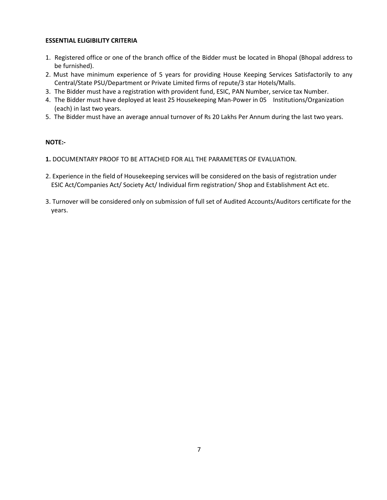#### **ESSENTIAL ELIGIBILITY CRITERIA**

- 1. Registered office or one of the branch office of the Bidder must be located in Bhopal (Bhopal address to be furnished).
- 2. Must have minimum experience of 5 years for providing House Keeping Services Satisfactorily to any Central/State PSU/Department or Private Limited firms of repute/3 star Hotels/Malls.
- 3. The Bidder must have a registration with provident fund, ESIC, PAN Number, service tax Number.
- 4. The Bidder must have deployed at least 25 Housekeeping Man-Power in 05 Institutions/Organization (each) in last two years.
- 5. The Bidder must have an average annual turnover of Rs 20 Lakhs Per Annum during the last two years.

#### **NOTE:-**

- **1.** DOCUMENTARY PROOF TO BE ATTACHED FOR ALL THE PARAMETERS OF EVALUATION.
- 2. Experience in the field of Housekeeping services will be considered on the basis of registration under ESIC Act/Companies Act/ Society Act/ Individual firm registration/ Shop and Establishment Act etc.
- 3. Turnover will be considered only on submission of full set of Audited Accounts/Auditors certificate for the years.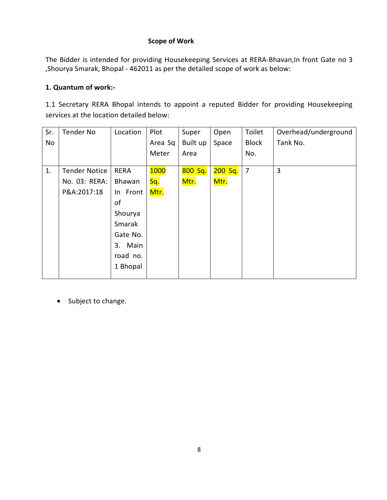# **Scope of Work**

The Bidder is intended for providing Housekeeping Services at RERA-Bhavan, In front Gate no 3 ,Shourya Smarak, Bhopal - 462011 as per the detailed scope of work as below:

# **1. Quantum of work:-**

1.1 Secretary RERA Bhopal intends to appoint a reputed Bidder for providing Housekeeping services at the location detailed below:

| Sr. | Tender No            | Location    | Plot        | Super    | Open    | Toilet         | Overhead/underground |
|-----|----------------------|-------------|-------------|----------|---------|----------------|----------------------|
| No  |                      |             | Area Sq     | Built up | Space   | <b>Block</b>   | Tank No.             |
|     |                      |             | Meter       | Area     |         | No.            |                      |
| 1.  | <b>Tender Notice</b> | <b>RERA</b> | <b>1000</b> | 800 Sq.  | 200 Sq. | $\overline{7}$ | 3                    |
|     | No. 03: RERA:        | Bhawan      | Sq.         | Mtr.     | Mtr.    |                |                      |
|     | P&A:2017:18          | In Front    | Mtr.        |          |         |                |                      |
|     |                      | of          |             |          |         |                |                      |
|     |                      | Shourya     |             |          |         |                |                      |
|     |                      | Smarak      |             |          |         |                |                      |
|     |                      | Gate No.    |             |          |         |                |                      |
|     |                      | Main<br>3.  |             |          |         |                |                      |
|     |                      | road no.    |             |          |         |                |                      |
|     |                      | 1 Bhopal    |             |          |         |                |                      |
|     |                      |             |             |          |         |                |                      |

• Subject to change.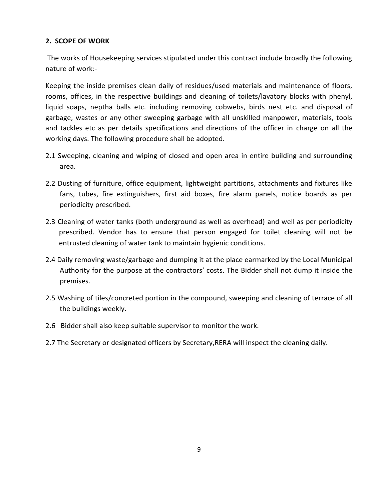# **2. SCOPE OF WORK**

 The works of Housekeeping services stipulated under this contract include broadly the following nature of work:-

Keeping the inside premises clean daily of residues/used materials and maintenance of floors, rooms, offices, in the respective buildings and cleaning of toilets/lavatory blocks with phenyl, liquid soaps, neptha balls etc. including removing cobwebs, birds nest etc. and disposal of garbage, wastes or any other sweeping garbage with all unskilled manpower, materials, tools and tackles etc as per details specifications and directions of the officer in charge on all the working days. The following procedure shall be adopted.

- 2.1 Sweeping, cleaning and wiping of closed and open area in entire building and surrounding area.
- 2.2 Dusting of furniture, office equipment, lightweight partitions, attachments and fixtures like fans, tubes, fire extinguishers, first aid boxes, fire alarm panels, notice boards as per periodicity prescribed.
- 2.3 Cleaning of water tanks (both underground as well as overhead) and well as per periodicity prescribed. Vendor has to ensure that person engaged for toilet cleaning will not be entrusted cleaning of water tank to maintain hygienic conditions.
- 2.4 Daily removing waste/garbage and dumping it at the place earmarked by the Local Municipal Authority for the purpose at the contractors' costs. The Bidder shall not dump it inside the premises.
- 2.5 Washing of tiles/concreted portion in the compound, sweeping and cleaning of terrace of all the buildings weekly.
- 2.6 Bidder shall also keep suitable supervisor to monitor the work.
- 2.7 The Secretary or designated officers by Secretary,RERA will inspect the cleaning daily.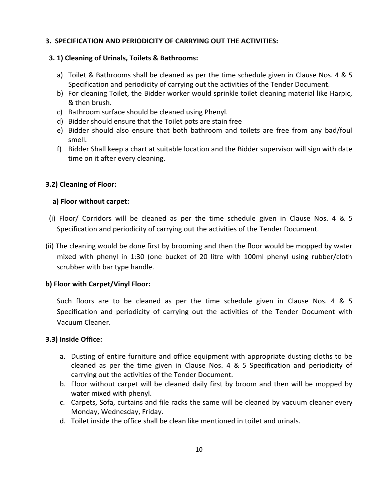# **3. SPECIFICATION AND PERIODICITY OF CARRYING OUT THE ACTIVITIES:**

# **3. 1) Cleaning of Urinals, Toilets & Bathrooms:**

- a) Toilet & Bathrooms shall be cleaned as per the time schedule given in Clause Nos. 4 & 5 Specification and periodicity of carrying out the activities of the Tender Document.
- b) For cleaning Toilet, the Bidder worker would sprinkle toilet cleaning material like Harpic, & then brush.
- c) Bathroom surface should be cleaned using Phenyl.
- d) Bidder should ensure that the Toilet pots are stain free
- e) Bidder should also ensure that both bathroom and toilets are free from any bad/foul smell.
- f) Bidder Shall keep a chart at suitable location and the Bidder supervisor will sign with date time on it after every cleaning.

# **3.2) Cleaning of Floor:**

# **a) Floor without carpet:**

- (i) Floor/ Corridors will be cleaned as per the time schedule given in Clause Nos. 4 & 5 Specification and periodicity of carrying out the activities of the Tender Document.
- (ii) The cleaning would be done first by brooming and then the floor would be mopped by water mixed with phenyl in 1:30 (one bucket of 20 litre with 100ml phenyl using rubber/cloth scrubber with bar type handle.

# **b) Floor with Carpet/Vinyl Floor:**

 Such floors are to be cleaned as per the time schedule given in Clause Nos. 4 & 5 Specification and periodicity of carrying out the activities of the Tender Document with Vacuum Cleaner.

# **3.3) Inside Office:**

- a. Dusting of entire furniture and office equipment with appropriate dusting cloths to be cleaned as per the time given in Clause Nos. 4 & 5 Specification and periodicity of carrying out the activities of the Tender Document.
- b. Floor without carpet will be cleaned daily first by broom and then will be mopped by water mixed with phenyl.
- c. Carpets, Sofa, curtains and file racks the same will be cleaned by vacuum cleaner every Monday, Wednesday, Friday.
- d. Toilet inside the office shall be clean like mentioned in toilet and urinals.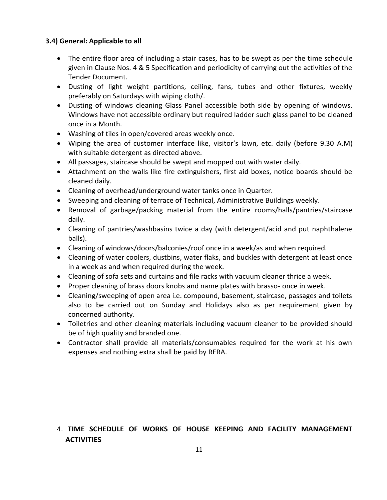# **3.4) General: Applicable to all**

- The entire floor area of including a stair cases, has to be swept as per the time schedule given in Clause Nos. 4 & 5 Specification and periodicity of carrying out the activities of the Tender Document.
- Dusting of light weight partitions, ceiling, fans, tubes and other fixtures, weekly preferably on Saturdays with wiping cloth/.
- Dusting of windows cleaning Glass Panel accessible both side by opening of windows. Windows have not accessible ordinary but required ladder such glass panel to be cleaned once in a Month.
- Washing of tiles in open/covered areas weekly once.
- Wiping the area of customer interface like, visitor's lawn, etc. daily (before 9.30 A.M) with suitable detergent as directed above.
- All passages, staircase should be swept and mopped out with water daily.
- Attachment on the walls like fire extinguishers, first aid boxes, notice boards should be cleaned daily.
- Cleaning of overhead/underground water tanks once in Quarter.
- Sweeping and cleaning of terrace of Technical, Administrative Buildings weekly.
- Removal of garbage/packing material from the entire rooms/halls/pantries/staircase daily.
- Cleaning of pantries/washbasins twice a day (with detergent/acid and put naphthalene balls).
- Cleaning of windows/doors/balconies/roof once in a week/as and when required.
- Cleaning of water coolers, dustbins, water flaks, and buckles with detergent at least once in a week as and when required during the week.
- Cleaning of sofa sets and curtains and file racks with vacuum cleaner thrice a week.
- Proper cleaning of brass doors knobs and name plates with brasso- once in week.
- Cleaning/sweeping of open area i.e. compound, basement, staircase, passages and toilets also to be carried out on Sunday and Holidays also as per requirement given by concerned authority.
- Toiletries and other cleaning materials including vacuum cleaner to be provided should be of high quality and branded one.
- Contractor shall provide all materials/consumables required for the work at his own expenses and nothing extra shall be paid by RERA.

# 4. **TIME SCHEDULE OF WORKS OF HOUSE KEEPING AND FACILITY MANAGEMENT ACTIVITIES**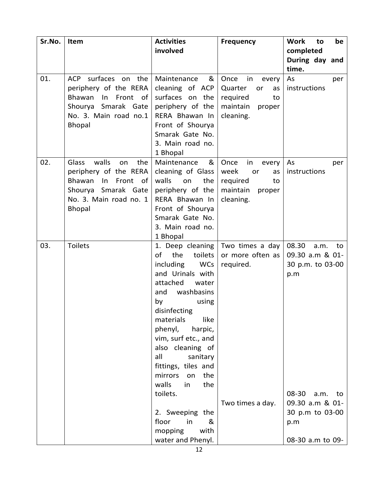| Sr.No. | Item                        | <b>Activities</b>                         | <b>Frequency</b>                   | <b>Work</b><br>be<br>to |
|--------|-----------------------------|-------------------------------------------|------------------------------------|-------------------------|
|        |                             | involved                                  |                                    | completed               |
|        |                             |                                           |                                    | During day and          |
|        |                             |                                           |                                    | time.                   |
| 01.    | surfaces on the<br>ACP      | &<br>Maintenance                          | Once<br>in<br>every                | As<br>per               |
|        | periphery of the RERA       | cleaning of ACP                           | Quarter<br>or<br>as                | instructions            |
|        | Bhawan<br>Front of<br>In    | surfaces on the                           | required<br>to                     |                         |
|        | Shourya Smarak Gate         | periphery of the                          | maintain<br>proper                 |                         |
|        | No. 3. Main road no.1       | RERA Bhawan In<br>Front of Shourya        | cleaning.                          |                         |
|        | <b>Bhopal</b>               | Smarak Gate No.                           |                                    |                         |
|        |                             | 3. Main road no.                          |                                    |                         |
|        |                             | 1 Bhopal                                  |                                    |                         |
| 02.    | walls<br>the<br>Glass<br>on | Maintenance<br>&                          | Once<br>in<br>every                | As<br>per               |
|        | periphery of the RERA       | cleaning of Glass                         | week<br>or<br>as                   | instructions            |
|        | Bhawan<br>Front<br>of<br>In | walls<br>the<br>on                        | required<br>to                     |                         |
|        | Shourya Smarak Gate         | periphery of the                          | maintain<br>proper                 |                         |
|        | No. 3. Main road no. 1      | RERA Bhawan In                            | cleaning.                          |                         |
|        | <b>Bhopal</b>               | Front of Shourya                          |                                    |                         |
|        |                             | Smarak Gate No.                           |                                    |                         |
|        |                             | 3. Main road no.                          |                                    |                         |
|        |                             | 1 Bhopal                                  |                                    |                         |
| 03.    | <b>Toilets</b>              |                                           | 1. Deep cleaning   Two times a day | 08.30<br>a.m.<br>to     |
|        |                             | of<br>the<br>toilets                      | or more often as                   | 09.30 a.m & 01-         |
|        |                             | including<br><b>WCs</b>                   | required.                          | 30 p.m. to 03-00        |
|        |                             | and Urinals with                          |                                    | p.m                     |
|        |                             | attached<br>water                         |                                    |                         |
|        |                             | washbasins<br>and                         |                                    |                         |
|        |                             | by<br>using                               |                                    |                         |
|        |                             | disinfecting                              |                                    |                         |
|        |                             | like<br>materials                         |                                    |                         |
|        |                             | phenyl,<br>harpic,<br>vim, surf etc., and |                                    |                         |
|        |                             | also cleaning of                          |                                    |                         |
|        |                             | all<br>sanitary                           |                                    |                         |
|        |                             | fittings, tiles and                       |                                    |                         |
|        |                             | mirrors<br>the<br>on                      |                                    |                         |
|        |                             | the<br>walls<br>in                        |                                    |                         |
|        |                             | toilets.                                  |                                    | 08-30<br>a.m. to        |
|        |                             |                                           | Two times a day.                   | 09.30 a.m & 01-         |
|        |                             | 2. Sweeping the                           |                                    | 30 p.m to 03-00         |
|        |                             | floor<br>in<br>&                          |                                    | p.m                     |
|        |                             | with<br>mopping                           |                                    |                         |
|        |                             | water and Phenyl.                         |                                    | 08-30 a.m to 09-        |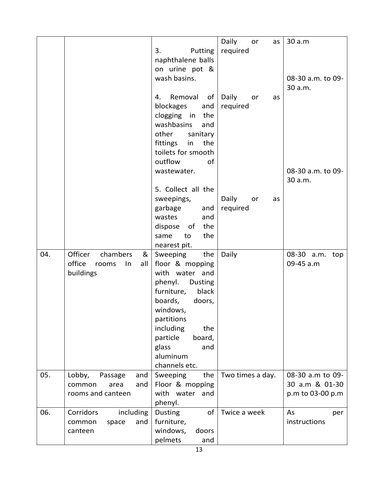|     |                              |                       | Daily<br>or<br>as | 30 a.m            |
|-----|------------------------------|-----------------------|-------------------|-------------------|
|     |                              | 3.<br>Putting         | required          |                   |
|     |                              | naphthalene balls     |                   |                   |
|     |                              | on urine pot &        |                   |                   |
|     |                              | wash basins.          |                   | 08-30 a.m. to 09- |
|     |                              |                       |                   |                   |
|     |                              |                       |                   | 30 a.m.           |
|     |                              | Removal<br>4.<br>of   | Daily<br>or<br>as |                   |
|     |                              | blockages<br>and      | required          |                   |
|     |                              | clogging in<br>the    |                   |                   |
|     |                              | washbasins<br>and     |                   |                   |
|     |                              | other<br>sanitary     |                   |                   |
|     |                              | fittings<br>the<br>in |                   |                   |
|     |                              | toilets for smooth    |                   |                   |
|     |                              | outflow<br>of         |                   |                   |
|     |                              | wastewater.           |                   | 08-30 a.m. to 09- |
|     |                              |                       |                   | 30 a.m.           |
|     |                              | 5. Collect all the    |                   |                   |
|     |                              | sweepings,            | Daily<br>or<br>as |                   |
|     |                              | garbage<br>and        | required          |                   |
|     |                              | wastes<br>and         |                   |                   |
|     |                              | the<br>dispose<br>of  |                   |                   |
|     |                              | the<br>to<br>same     |                   |                   |
|     |                              | nearest pit.          |                   |                   |
| 04. | Officer<br>chambers<br>&     | Sweeping<br>the       | Daily             | 08-30 a.m.<br>top |
|     | office<br>all<br>In<br>rooms | floor & mopping       |                   | 09-45 a.m         |
|     | buildings                    | with water and        |                   |                   |
|     |                              | phenyl.<br>Dusting    |                   |                   |
|     |                              | black<br>furniture,   |                   |                   |
|     |                              | boards,<br>doors,     |                   |                   |
|     |                              | windows,              |                   |                   |
|     |                              | partitions            |                   |                   |
|     |                              | including<br>the      |                   |                   |
|     |                              | particle<br>board,    |                   |                   |
|     |                              | glass<br>and          |                   |                   |
|     |                              | aluminum              |                   |                   |
|     |                              | channels etc.         |                   |                   |
| 05. | Lobby,<br>Passage<br>and     | Sweeping<br>the       | Two times a day.  | 08-30 a.m to 09-  |
|     | and<br>common<br>area        | Floor & mopping       |                   | 30 a.m & 01-30    |
|     | rooms and canteen            | with water and        |                   | p.m to 03-00 p.m  |
|     |                              | phenyl.               |                   |                   |
| 06. | Corridors<br>including       | of<br>Dusting         | Twice a week      | As<br>per         |
|     | and<br>common<br>space       | furniture,            |                   | instructions      |
|     | canteen                      | windows,<br>doors     |                   |                   |
|     |                              | pelmets<br>and        |                   |                   |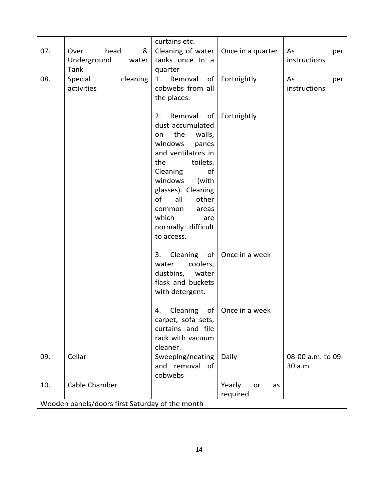|                                                 |                                                   | curtains etc.                                                                                                                                                                                                                                                                        |                                    |                             |  |
|-------------------------------------------------|---------------------------------------------------|--------------------------------------------------------------------------------------------------------------------------------------------------------------------------------------------------------------------------------------------------------------------------------------|------------------------------------|-----------------------------|--|
| 07.                                             | head<br>&<br>Over<br>Underground<br>water<br>Tank | Cleaning of water   Once in a quarter<br>tanks once In a<br>quarter                                                                                                                                                                                                                  |                                    | As<br>per<br>instructions   |  |
| 08.                                             | cleaning<br>Special<br>activities                 | Removal<br>of<br>1.<br>cobwebs from all<br>the places.                                                                                                                                                                                                                               | Fortnightly                        | As<br>per<br>instructions   |  |
|                                                 |                                                   | Removal<br>2.<br>of<br>dust accumulated<br>the<br>walls,<br>on<br>windows<br>panes<br>and ventilators in<br>toilets.<br>the<br>Cleaning<br>of<br>windows<br>(with<br>glasses). Cleaning<br>of<br>all<br>other<br>common<br>areas<br>which<br>are<br>normally difficult<br>to access. | Fortnightly                        |                             |  |
|                                                 |                                                   | Cleaning of<br>3.<br>coolers,<br>water<br>dustbins, water<br>flask and buckets<br>with detergent.                                                                                                                                                                                    | Once in a week                     |                             |  |
|                                                 |                                                   | 4.<br>carpet, sofa sets,<br>curtains and file<br>rack with vacuum<br>cleaner.                                                                                                                                                                                                        | Cleaning of $\vert$ Once in a week |                             |  |
| 09.                                             | Cellar                                            | Sweeping/neating<br>and removal of<br>cobwebs                                                                                                                                                                                                                                        | Daily                              | 08-00 a.m. to 09-<br>30 a.m |  |
| 10.                                             | Cable Chamber                                     |                                                                                                                                                                                                                                                                                      | Yearly<br>or<br>as<br>required     |                             |  |
| Wooden panels/doors first Saturday of the month |                                                   |                                                                                                                                                                                                                                                                                      |                                    |                             |  |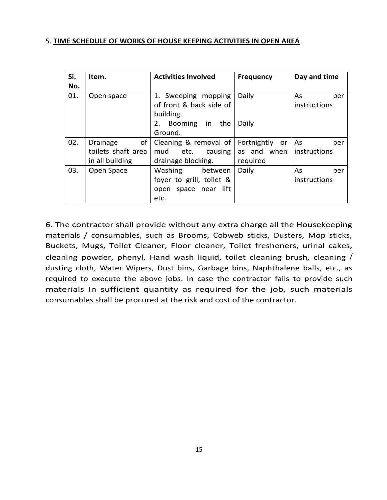#### 5. **TIME SCHEDULE OF WORKS OF HOUSE KEEPING ACTIVITIES IN OPEN AREA**

| Si. | Item.              | <b>Activities Involved</b> | <b>Frequency</b>  | Day and time |
|-----|--------------------|----------------------------|-------------------|--------------|
| No. |                    |                            |                   |              |
| 01. | Open space         | 1. Sweeping mopping        | Daily             | As<br>per    |
|     |                    | of front & back side of    |                   | instructions |
|     |                    | building.                  |                   |              |
|     |                    | 2. Booming in<br>the       | Daily             |              |
|     |                    | Ground.                    |                   |              |
| 02. | of<br>Drainage     | Cleaning & removal of      | Fortnightly<br>or | As<br>per    |
|     | toilets shaft area | mud etc.<br>causing        | as and when       | instructions |
|     | in all building    | drainage blocking.         | required          |              |
| 03. | Open Space         | Washing<br>between         | Daily             | As<br>per    |
|     |                    | foyer to grill, toilet &   |                   | instructions |
|     |                    | open space near lift       |                   |              |
|     |                    | etc.                       |                   |              |

6. The contractor shall provide without any extra charge all the Housekeeping materials / consumables, such as Brooms, Cobweb sticks, Dusters, Mop sticks, Buckets, Mugs, Toilet Cleaner, Floor cleaner, Toilet fresheners, urinal cakes, cleaning powder, phenyl, Hand wash liquid, toilet cleaning brush, cleaning / dusting cloth, Water Wipers, Dust bins, Garbage bins, Naphthalene balls, etc., as required to execute the above jobs. In case the contractor fails to provide such materials In sufficient quantity as required for the job, such materials consumables shall be procured at the risk and cost of the contractor.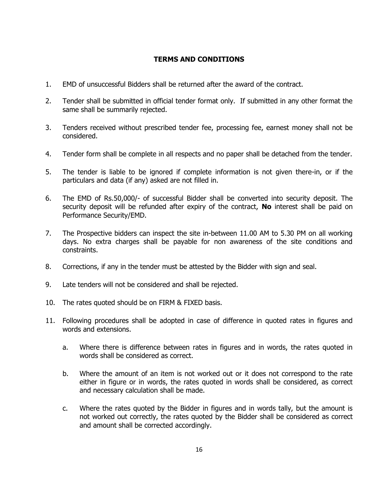# **TERMS AND CONDITIONS**

- 1. EMD of unsuccessful Bidders shall be returned after the award of the contract.
- 2. Tender shall be submitted in official tender format only. If submitted in any other format the same shall be summarily rejected.
- 3. Tenders received without prescribed tender fee, processing fee, earnest money shall not be considered.
- 4. Tender form shall be complete in all respects and no paper shall be detached from the tender.
- 5. The tender is liable to be ignored if complete information is not given there-in, or if the particulars and data (if any) asked are not filled in.
- 6. The EMD of Rs.50,000/- of successful Bidder shall be converted into security deposit. The security deposit will be refunded after expiry of the contract, **No** interest shall be paid on Performance Security/EMD.
- 7. The Prospective bidders can inspect the site in-between 11.00 AM to 5.30 PM on all working days. No extra charges shall be payable for non awareness of the site conditions and constraints.
- 8. Corrections, if any in the tender must be attested by the Bidder with sign and seal.
- 9. Late tenders will not be considered and shall be rejected.
- 10. The rates quoted should be on FIRM & FIXED basis.
- 11. Following procedures shall be adopted in case of difference in quoted rates in figures and words and extensions.
	- a. Where there is difference between rates in figures and in words, the rates quoted in words shall be considered as correct.
	- b. Where the amount of an item is not worked out or it does not correspond to the rate either in figure or in words, the rates quoted in words shall be considered, as correct and necessary calculation shall be made.
	- c. Where the rates quoted by the Bidder in figures and in words tally, but the amount is not worked out correctly, the rates quoted by the Bidder shall be considered as correct and amount shall be corrected accordingly.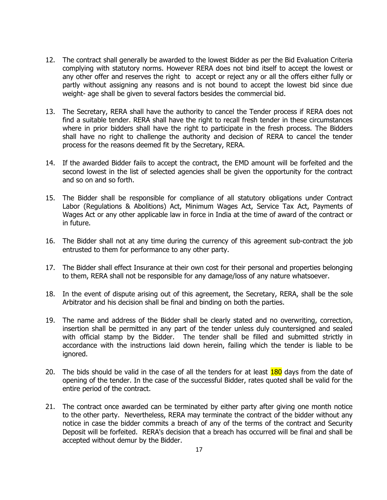- 12. The contract shall generally be awarded to the lowest Bidder as per the Bid Evaluation Criteria complying with statutory norms. However RERA does not bind itself to accept the lowest or any other offer and reserves the right to accept or reject any or all the offers either fully or partly without assigning any reasons and is not bound to accept the lowest bid since due weight- age shall be given to several factors besides the commercial bid.
- 13. The Secretary, RERA shall have the authority to cancel the Tender process if RERA does not find a suitable tender. RERA shall have the right to recall fresh tender in these circumstances where in prior bidders shall have the right to participate in the fresh process. The Bidders shall have no right to challenge the authority and decision of RERA to cancel the tender process for the reasons deemed fit by the Secretary, RERA.
- 14. If the awarded Bidder fails to accept the contract, the EMD amount will be forfeited and the second lowest in the list of selected agencies shall be given the opportunity for the contract and so on and so forth.
- 15. The Bidder shall be responsible for compliance of all statutory obligations under Contract Labor (Regulations & Abolitions) Act, Minimum Wages Act, Service Tax Act, Payments of Wages Act or any other applicable law in force in India at the time of award of the contract or in future.
- 16. The Bidder shall not at any time during the currency of this agreement sub-contract the job entrusted to them for performance to any other party.
- 17. The Bidder shall effect Insurance at their own cost for their personal and properties belonging to them, RERA shall not be responsible for any damage/loss of any nature whatsoever.
- 18. In the event of dispute arising out of this agreement, the Secretary, RERA, shall be the sole Arbitrator and his decision shall be final and binding on both the parties.
- 19. The name and address of the Bidder shall be clearly stated and no overwriting, correction, insertion shall be permitted in any part of the tender unless duly countersigned and sealed with official stamp by the Bidder. The tender shall be filled and submitted strictly in accordance with the instructions laid down herein, failing which the tender is liable to be ignored.
- 20. The bids should be valid in the case of all the tenders for at least 180 days from the date of opening of the tender. In the case of the successful Bidder, rates quoted shall be valid for the entire period of the contract.
- 21. The contract once awarded can be terminated by either party after giving one month notice to the other party. Nevertheless, RERA may terminate the contract of the bidder without any notice in case the bidder commits a breach of any of the terms of the contract and Security Deposit will be forfeited. RERA's decision that a breach has occurred will be final and shall be accepted without demur by the Bidder.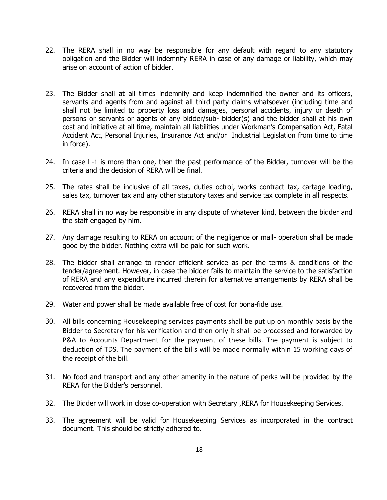- 22. The RERA shall in no way be responsible for any default with regard to any statutory obligation and the Bidder will indemnify RERA in case of any damage or liability, which may arise on account of action of bidder.
- 23. The Bidder shall at all times indemnify and keep indemnified the owner and its officers, servants and agents from and against all third party claims whatsoever (including time and shall not be limited to property loss and damages, personal accidents, injury or death of persons or servants or agents of any bidder/sub- bidder(s) and the bidder shall at his own cost and initiative at all time, maintain all liabilities under Workman's Compensation Act, Fatal Accident Act, Personal Injuries, Insurance Act and/or Industrial Legislation from time to time in force).
- 24. In case L-1 is more than one, then the past performance of the Bidder, turnover will be the criteria and the decision of RERA will be final.
- 25. The rates shall be inclusive of all taxes, duties octroi, works contract tax, cartage loading, sales tax, turnover tax and any other statutory taxes and service tax complete in all respects.
- 26. RERA shall in no way be responsible in any dispute of whatever kind, between the bidder and the staff engaged by him.
- 27. Any damage resulting to RERA on account of the negligence or mall- operation shall be made good by the bidder. Nothing extra will be paid for such work.
- 28. The bidder shall arrange to render efficient service as per the terms & conditions of the tender/agreement. However, in case the bidder fails to maintain the service to the satisfaction of RERA and any expenditure incurred therein for alternative arrangements by RERA shall be recovered from the bidder.
- 29. Water and power shall be made available free of cost for bona-fide use.
- 30. All bills concerning Housekeeping services payments shall be put up on monthly basis by the Bidder to Secretary for his verification and then only it shall be processed and forwarded by P&A to Accounts Department for the payment of these bills. The payment is subject to deduction of TDS. The payment of the bills will be made normally within 15 working days of the receipt of the bill.
- 31. No food and transport and any other amenity in the nature of perks will be provided by the RERA for the Bidder's personnel.
- 32. The Bidder will work in close co-operation with Secretary ,RERA for Housekeeping Services.
- 33. The agreement will be valid for Housekeeping Services as incorporated in the contract document. This should be strictly adhered to.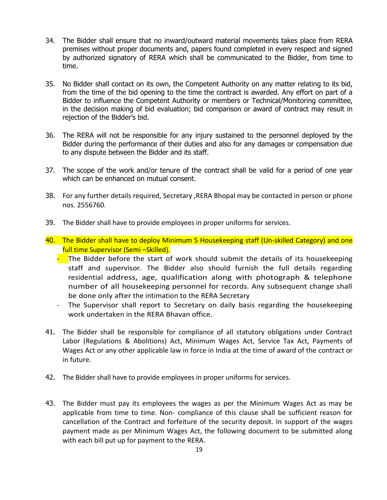- 34. The Bidder shall ensure that no inward/outward material movements takes place from RERA premises without proper documents and, papers found completed in every respect and signed by authorized signatory of RERA which shall be communicated to the Bidder, from time to time.
- 35. No Bidder shall contact on its own, the Competent Authority on any matter relating to its bid, from the time of the bid opening to the time the contract is awarded. Any effort on part of a Bidder to influence the Competent Authority or members or Technical/Monitoring committee, in the decision making of bid evaluation; bid comparison or award of contract may result in rejection of the Bidder's bid.
- 36. The RERA will not be responsible for any injury sustained to the personnel deployed by the Bidder during the performance of their duties and also for any damages or compensation due to any dispute between the Bidder and its staff.
- 37. The scope of the work and/or tenure of the contract shall be valid for a period of one year which can be enhanced on mutual consent.
- 38. For any further details required, Secretary ,RERA Bhopal may be contacted in person or phone nos. 2556760.
- 39. The Bidder shall have to provide employees in proper uniforms for services.
- 40. The Bidder shall have to deploy Minimum 5 Housekeeping staff (Un-skilled Category) and one full time Supervisor (Semi –Skilled).
	- $\blacksquare$  The Bidder before the start of work should submit the details of its housekeeping staff and supervisor. The Bidder also should furnish the full details regarding residential address, age, qualification along with photograph & telephone number of all housekeeping personnel for records. Any subsequent change shall be done only after the intimation to the RERA Secretary
	- The Supervisor shall report to Secretary on daily basis regarding the housekeeping work undertaken in the RERA Bhavan office.
- 41. The Bidder shall be responsible for compliance of all statutory obligations under Contract Labor (Regulations & Abolitions) Act, Minimum Wages Act, Service Tax Act, Payments of Wages Act or any other applicable law in force in India at the time of award of the contract or in future.
- 42. The Bidder shall have to provide employees in proper uniforms for services.
- 43. The Bidder must pay its employees the wages as per the Minimum Wages Act as may be applicable from time to time. Non- compliance of this clause shall be sufficient reason for cancellation of the Contract and forfeiture of the security deposit. In support of the wages payment made as per Minimum Wages Act, the following document to be submitted along with each bill put up for payment to the RERA.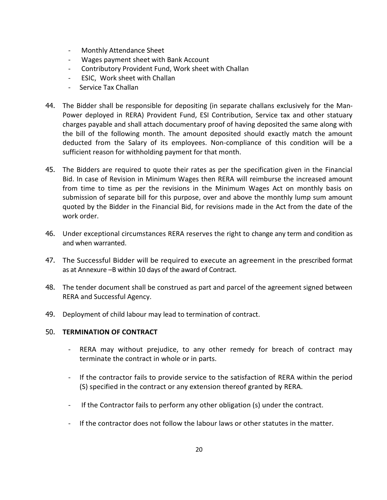- Monthly Attendance Sheet
- Wages payment sheet with Bank Account
- Contributory Provident Fund, Work sheet with Challan
- ESIC, Work sheet with Challan
- Service Tax Challan
- 44. The Bidder shall be responsible for depositing (in separate challans exclusively for the Man-Power deployed in RERA) Provident Fund, ESI Contribution, Service tax and other statuary charges payable and shall attach documentary proof of having deposited the same along with the bill of the following month. The amount deposited should exactly match the amount deducted from the Salary of its employees. Non-compliance of this condition will be a sufficient reason for withholding payment for that month.
- 45. The Bidders are required to quote their rates as per the specification given in the Financial Bid. In case of Revision in Minimum Wages then RERA will reimburse the increased amount from time to time as per the revisions in the Minimum Wages Act on monthly basis on submission of separate bill for this purpose, over and above the monthly lump sum amount quoted by the Bidder in the Financial Bid, for revisions made in the Act from the date of the work order.
- 46. Under exceptional circumstances RERA reserves the right to change any term and condition as and when warranted.
- 47. The Successful Bidder will be required to execute an agreement in the prescribed format as at Annexure –B within 10 days of the award of Contract.
- 48. The tender document shall be construed as part and parcel of the agreement signed between RERA and Successful Agency.
- 49. Deployment of child labour may lead to termination of contract.

# 50. **TERMINATION OF CONTRACT**

- RERA may without prejudice, to any other remedy for breach of contract may terminate the contract in whole or in parts.
- If the contractor fails to provide service to the satisfaction of RERA within the period (S) specified in the contract or any extension thereof granted by RERA.
- If the Contractor fails to perform any other obligation (s) under the contract.
- If the contractor does not follow the labour laws or other statutes in the matter.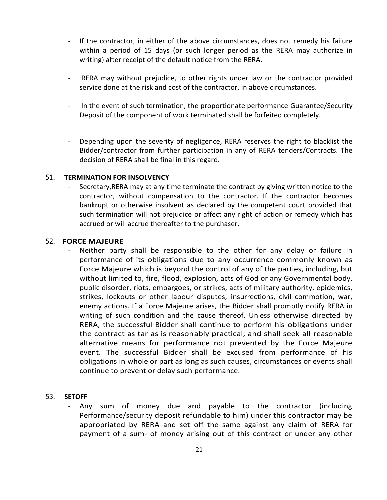- If the contractor, in either of the above circumstances, does not remedy his failure within a period of 15 days (or such longer period as the RERA may authorize in writing) after receipt of the default notice from the RERA.
- RERA may without prejudice, to other rights under law or the contractor provided service done at the risk and cost of the contractor, in above circumstances.
- In the event of such termination, the proportionate performance Guarantee/Security Deposit of the component of work terminated shall be forfeited completely.
- Depending upon the severity of negligence, RERA reserves the right to blacklist the Bidder/contractor from further participation in any of RERA tenders/Contracts. The decision of RERA shall be final in this regard.

# 51. **TERMINATION FOR INSOLVENCY**

Secretary, RERA may at any time terminate the contract by giving written notice to the contractor, without compensation to the contractor. If the contractor becomes bankrupt or otherwise insolvent as declared by the competent court provided that such termination will not prejudice or affect any right of action or remedy which has accrued or will accrue thereafter to the purchaser.

### 52. **FORCE MAJEURE**

Neither party shall be responsible to the other for any delay or failure in performance of its obligations due to any occurrence commonly known as Force Majeure which is beyond the control of any of the parties, including, but without limited to, fire, flood, explosion, acts of God or any Governmental body, public disorder, riots, embargoes, or strikes, acts of military authority, epidemics, strikes, lockouts or other labour disputes, insurrections, civil commotion, war, enemy actions. If a Force Majeure arises, the Bidder shall promptly notify RERA in writing of such condition and the cause thereof. Unless otherwise directed by RERA, the successful Bidder shall continue to perform his obligations under the contract as tar as is reasonably practical, and shall seek all reasonable alternative means for performance not prevented by the Force Majeure event. The successful Bidder shall be excused from performance of his obligations in whole or part as long as such causes, circumstances or events shall continue to prevent or delay such performance.

# 53. **SETOFF**

Any sum of money due and payable to the contractor (including Performance/security deposit refundable to him) under this contractor may be appropriated by RERA and set off the same against any claim of RERA for payment of a sum- of money arising out of this contract or under any other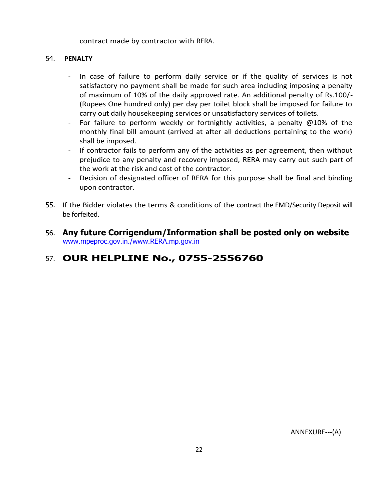### contract made by contractor with RERA.

# 54. **PENALTY**

- In case of failure to perform daily service or if the quality of services is not satisfactory no payment shall be made for such area including imposing a penalty of maximum of 10% of the daily approved rate. An additional penalty of Rs.100/- (Rupees One hundred only) per day per toilet block shall be imposed for failure to carry out daily housekeeping services or unsatisfactory services of toilets.
- For failure to perform weekly or fortnightly activities, a penalty @10% of the monthly final bill amount (arrived at after all deductions pertaining to the work) shall be imposed.
- If contractor fails to perform any of the activities as per agreement, then without prejudice to any penalty and recovery imposed, RERA may carry out such part of the work at the risk and cost of the contractor.
- Decision of designated officer of RERA for this purpose shall be final and binding upon contractor.
- 55. If the Bidder violates the terms & conditions of the contract the EMD/Security Deposit will be forfeited.
- 56. **Any future Corrigendum/Information shall be posted only on website**  [www.mpeproc.gov.in./www.RERA.mp.gov.in](http://www.mpeproc.gov.in./www.mpsedc.com/www.mapit.gov.in/www.dit.mp.gov.in)

# 57. **OUR HELPLINE No., 0755-2556760**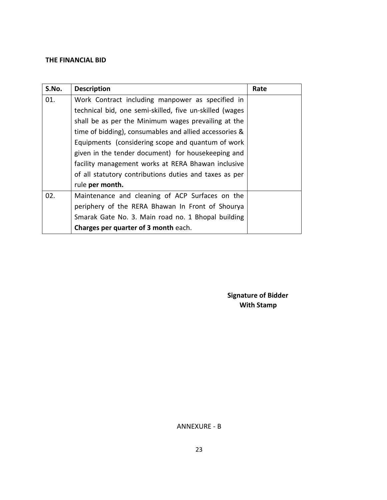# **THE FINANCIAL BID**

| S.No. | <b>Description</b>                                      | Rate |
|-------|---------------------------------------------------------|------|
| 01.   | Work Contract including manpower as specified in        |      |
|       | technical bid, one semi-skilled, five un-skilled (wages |      |
|       | shall be as per the Minimum wages prevailing at the     |      |
|       | time of bidding), consumables and allied accessories &  |      |
|       | Equipments (considering scope and quantum of work       |      |
|       | given in the tender document) for housekeeping and      |      |
|       | facility management works at RERA Bhawan inclusive      |      |
|       | of all statutory contributions duties and taxes as per  |      |
|       | rule per month.                                         |      |
| 02.   | Maintenance and cleaning of ACP Surfaces on the         |      |
|       | periphery of the RERA Bhawan In Front of Shourya        |      |
|       | Smarak Gate No. 3. Main road no. 1 Bhopal building      |      |
|       | Charges per quarter of 3 month each.                    |      |

 **Signature of Bidder With Stamp** 

ANNEXURE - B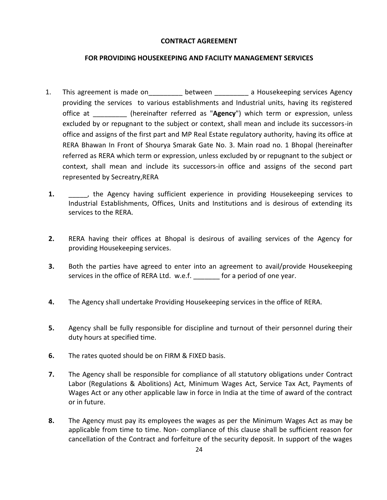#### **CONTRACT AGREEMENT**

### **FOR PROVIDING HOUSEKEEPING AND FACILITY MANAGEMENT SERVICES**

- 1. This agreement is made on between a Housekeeping services Agency providing the services to various establishments and Industrial units, having its registered office at \_\_\_\_\_\_\_\_\_ (hereinafter referred as "**Agency**") which term or expression, unless excluded by or repugnant to the subject or context, shall mean and include its successors-in office and assigns of the first part and MP Real Estate regulatory authority, having its office at RERA Bhawan In Front of Shourya Smarak Gate No. 3. Main road no. 1 Bhopal (hereinafter referred as RERA which term or expression, unless excluded by or repugnant to the subject or context, shall mean and include its successors-in office and assigns of the second part represented by Secreatry,RERA
- **1.** The Agency having sufficient experience in providing Housekeeping services to Industrial Establishments, Offices, Units and Institutions and is desirous of extending its services to the RERA.
- **2.** RERA having their offices at Bhopal is desirous of availing services of the Agency for providing Housekeeping services.
- **3.** Both the parties have agreed to enter into an agreement to avail/provide Housekeeping services in the office of RERA Ltd. w.e.f. **For a period of one year.**
- **4.** The Agency shall undertake Providing Housekeeping services in the office of RERA.
- **5.** Agency shall be fully responsible for discipline and turnout of their personnel during their duty hours at specified time.
- **6.** The rates quoted should be on FIRM & FIXED basis.
- **7.** The Agency shall be responsible for compliance of all statutory obligations under Contract Labor (Regulations & Abolitions) Act, Minimum Wages Act, Service Tax Act, Payments of Wages Act or any other applicable law in force in India at the time of award of the contract or in future.
- **8.** The Agency must pay its employees the wages as per the Minimum Wages Act as may be applicable from time to time. Non- compliance of this clause shall be sufficient reason for cancellation of the Contract and forfeiture of the security deposit. In support of the wages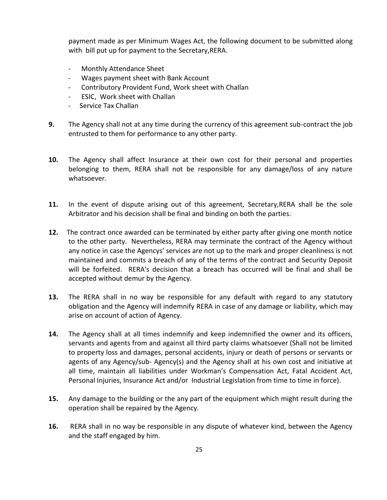payment made as per Minimum Wages Act, the following document to be submitted along with bill put up for payment to the Secretary,RERA.

- Monthly Attendance Sheet
- Wages payment sheet with Bank Account
- Contributory Provident Fund, Work sheet with Challan
- ESIC, Work sheet with Challan
- Service Tax Challan
- **9.** The Agency shall not at any time during the currency of this agreement sub-contract the job entrusted to them for performance to any other party.
- **10.** The Agency shall affect Insurance at their own cost for their personal and properties belonging to them, RERA shall not be responsible for any damage/loss of any nature whatsoever.
- **11.** In the event of dispute arising out of this agreement, Secretary,RERA shall be the sole Arbitrator and his decision shall be final and binding on both the parties.
- **12.** The contract once awarded can be terminated by either party after giving one month notice to the other party. Nevertheless, RERA may terminate the contract of the Agency without any notice in case the Agencys' services are not up to the mark and proper cleanliness is not maintained and commits a breach of any of the terms of the contract and Security Deposit will be forfeited. RERA's decision that a breach has occurred will be final and shall be accepted without demur by the Agency.
- **13.** The RERA shall in no way be responsible for any default with regard to any statutory obligation and the Agency will indemnify RERA in case of any damage or liability, which may arise on account of action of Agency.
- **14.** The Agency shall at all times indemnify and keep indemnified the owner and its officers, servants and agents from and against all third party claims whatsoever (Shall not be limited to property loss and damages, personal accidents, injury or death of persons or servants or agents of any Agency/sub- Agency(s) and the Agency shall at his own cost and initiative at all time, maintain all liabilities under Workman's Compensation Act, Fatal Accident Act, Personal Injuries, Insurance Act and/or Industrial Legislation from time to time in force).
- **15.** Any damage to the building or the any part of the equipment which might result during the operation shall be repaired by the Agency.
- **16.** RERA shall in no way be responsible in any dispute of whatever kind, between the Agency and the staff engaged by him.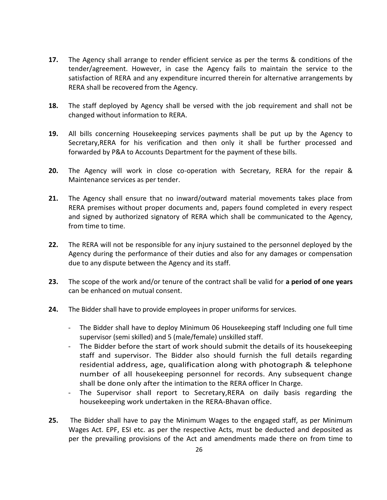- **17.** The Agency shall arrange to render efficient service as per the terms & conditions of the tender/agreement. However, in case the Agency fails to maintain the service to the satisfaction of RERA and any expenditure incurred therein for alternative arrangements by RERA shall be recovered from the Agency.
- **18.** The staff deployed by Agency shall be versed with the job requirement and shall not be changed without information to RERA.
- **19.** All bills concerning Housekeeping services payments shall be put up by the Agency to Secretary,RERA for his verification and then only it shall be further processed and forwarded by P&A to Accounts Department for the payment of these bills.
- **20.** The Agency will work in close co-operation with Secretary, RERA for the repair & Maintenance services as per tender.
- **21.** The Agency shall ensure that no inward/outward material movements takes place from RERA premises without proper documents and, papers found completed in every respect and signed by authorized signatory of RERA which shall be communicated to the Agency, from time to time.
- **22.** The RERA will not be responsible for any injury sustained to the personnel deployed by the Agency during the performance of their duties and also for any damages or compensation due to any dispute between the Agency and its staff.
- **23.** The scope of the work and/or tenure of the contract shall be valid for **a period of one years**  can be enhanced on mutual consent.
- **24.** The Bidder shall have to provide employees in proper uniforms for services.
	- The Bidder shall have to deploy Minimum 06 Housekeeping staff Including one full time supervisor (semi skilled) and 5 (male/female) unskilled staff.
	- The Bidder before the start of work should submit the details of its housekeeping staff and supervisor. The Bidder also should furnish the full details regarding residential address, age, qualification along with photograph & telephone number of all housekeeping personnel for records. Any subsequent change shall be done only after the intimation to the RERA officer In Charge.
	- The Supervisor shall report to Secretary, RERA on daily basis regarding the housekeeping work undertaken in the RERA-Bhavan office.
- **25.** The Bidder shall have to pay the Minimum Wages to the engaged staff, as per Minimum Wages Act. EPF, ESI etc. as per the respective Acts, must be deducted and deposited as per the prevailing provisions of the Act and amendments made there on from time to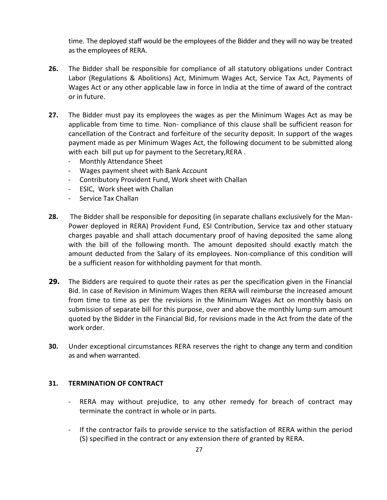time. The deployed staff would be the employees of the Bidder and they will no way be treated as the employees of RERA.

- **26.** The Bidder shall be responsible for compliance of all statutory obligations under Contract Labor (Regulations & Abolitions) Act, Minimum Wages Act, Service Tax Act, Payments of Wages Act or any other applicable law in force in India at the time of award of the contract or in future.
- **27.** The Bidder must pay its employees the wages as per the Minimum Wages Act as may be applicable from time to time. Non- compliance of this clause shall be sufficient reason for cancellation of the Contract and forfeiture of the security deposit. In support of the wages payment made as per Minimum Wages Act, the following document to be submitted along with each bill put up for payment to the Secretary,RERA .
	- Monthly Attendance Sheet
	- Wages payment sheet with Bank Account
	- Contributory Provident Fund, Work sheet with Challan
	- ESIC, Work sheet with Challan
	- Service Tax Challan
- **28.** The Bidder shall be responsible for depositing (in separate challans exclusively for the Man-Power deployed in RERA) Provident Fund, ESI Contribution, Service tax and other statuary charges payable and shall attach documentary proof of having deposited the same along with the bill of the following month. The amount deposited should exactly match the amount deducted from the Salary of its employees. Non-compliance of this condition will be a sufficient reason for withholding payment for that month.
- **29.** The Bidders are required to quote their rates as per the specification given in the Financial Bid. In case of Revision in Minimum Wages then RERA will reimburse the increased amount from time to time as per the revisions in the Minimum Wages Act on monthly basis on submission of separate bill for this purpose, over and above the monthly lump sum amount quoted by the Bidder in the Financial Bid, for revisions made in the Act from the date of the work order.
- **30.** Under exceptional circumstances RERA reserves the right to change any term and condition as and when warranted.

#### **31. TERMINATION OF CONTRACT**

- RERA may without prejudice, to any other remedy for breach of contract may terminate the contract in whole or in parts.
- If the contractor fails to provide service to the satisfaction of RERA within the period (S) specified in the contract or any extension there of granted by RERA.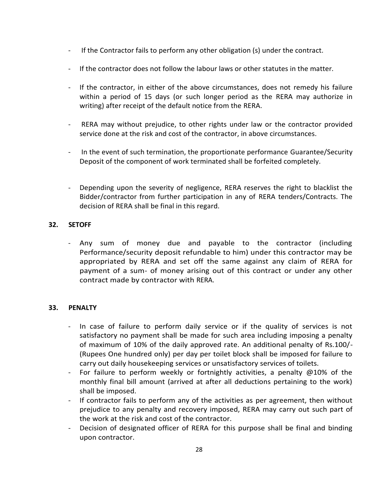- If the Contractor fails to perform any other obligation (s) under the contract.
- If the contractor does not follow the labour laws or other statutes in the matter.
- If the contractor, in either of the above circumstances, does not remedy his failure within a period of 15 days (or such longer period as the RERA may authorize in writing) after receipt of the default notice from the RERA.
- RERA may without prejudice, to other rights under law or the contractor provided service done at the risk and cost of the contractor, in above circumstances.
- In the event of such termination, the proportionate performance Guarantee/Security Deposit of the component of work terminated shall be forfeited completely.
- Depending upon the severity of negligence, RERA reserves the right to blacklist the Bidder/contractor from further participation in any of RERA tenders/Contracts. The decision of RERA shall be final in this regard.

# **32. SETOFF**

- Any sum of money due and payable to the contractor (including Performance/security deposit refundable to him) under this contractor may be appropriated by RERA and set off the same against any claim of RERA for payment of a sum- of money arising out of this contract or under any other contract made by contractor with RERA.

# **33. PENALTY**

- In case of failure to perform daily service or if the quality of services is not satisfactory no payment shall be made for such area including imposing a penalty of maximum of 10% of the daily approved rate. An additional penalty of Rs.100/- (Rupees One hundred only) per day per toilet block shall be imposed for failure to carry out daily housekeeping services or unsatisfactory services of toilets.
- For failure to perform weekly or fortnightly activities, a penalty @10% of the monthly final bill amount (arrived at after all deductions pertaining to the work) shall be imposed.
- If contractor fails to perform any of the activities as per agreement, then without prejudice to any penalty and recovery imposed, RERA may carry out such part of the work at the risk and cost of the contractor.
- Decision of designated officer of RERA for this purpose shall be final and binding upon contractor.